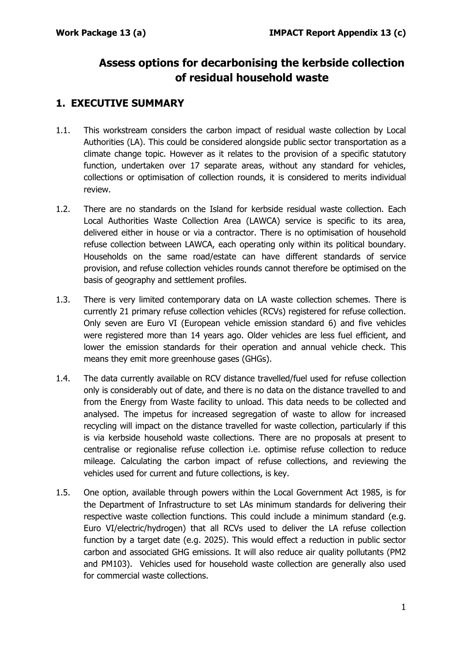# **Assess options for decarbonising the kerbside collection of residual household waste**

### **1. EXECUTIVE SUMMARY**

- 1.1. This workstream considers the carbon impact of residual waste collection by Local Authorities (LA). This could be considered alongside public sector transportation as a climate change topic. However as it relates to the provision of a specific statutory function, undertaken over 17 separate areas, without any standard for vehicles, collections or optimisation of collection rounds, it is considered to merits individual review.
- 1.2. There are no standards on the Island for kerbside residual waste collection. Each Local Authorities Waste Collection Area (LAWCA) service is specific to its area, delivered either in house or via a contractor. There is no optimisation of household refuse collection between LAWCA, each operating only within its political boundary. Households on the same road/estate can have different standards of service provision, and refuse collection vehicles rounds cannot therefore be optimised on the basis of geography and settlement profiles.
- 1.3. There is very limited contemporary data on LA waste collection schemes. There is currently 21 primary refuse collection vehicles (RCVs) registered for refuse collection. Only seven are Euro VI (European vehicle emission standard 6) and five vehicles were registered more than 14 years ago. Older vehicles are less fuel efficient, and lower the emission standards for their operation and annual vehicle check. This means they emit more greenhouse gases (GHGs).
- 1.4. The data currently available on RCV distance travelled/fuel used for refuse collection only is considerably out of date, and there is no data on the distance travelled to and from the Energy from Waste facility to unload. This data needs to be collected and analysed. The impetus for increased segregation of waste to allow for increased recycling will impact on the distance travelled for waste collection, particularly if this is via kerbside household waste collections. There are no proposals at present to centralise or regionalise refuse collection i.e. optimise refuse collection to reduce mileage. Calculating the carbon impact of refuse collections, and reviewing the vehicles used for current and future collections, is key.
- 1.5. One option, available through powers within the Local Government Act 1985, is for the Department of Infrastructure to set LAs minimum standards for delivering their respective waste collection functions. This could include a minimum standard (e.g. Euro VI/electric/hydrogen) that all RCVs used to deliver the LA refuse collection function by a target date (e.g. 2025). This would effect a reduction in public sector carbon and associated GHG emissions. It will also reduce air quality pollutants (PM2 and PM103). Vehicles used for household waste collection are generally also used for commercial waste collections.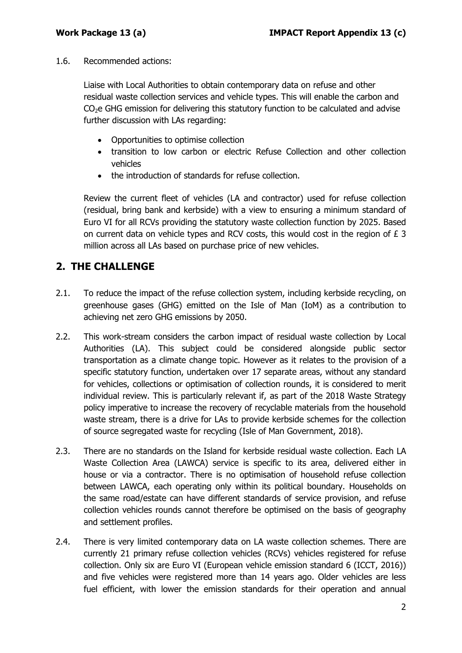1.6. Recommended actions:

Liaise with Local Authorities to obtain contemporary data on refuse and other residual waste collection services and vehicle types. This will enable the carbon and  $CO<sub>2</sub>e$  GHG emission for delivering this statutory function to be calculated and advise further discussion with LAs regarding:

- Opportunities to optimise collection
- transition to low carbon or electric Refuse Collection and other collection vehicles
- the introduction of standards for refuse collection.

Review the current fleet of vehicles (LA and contractor) used for refuse collection (residual, bring bank and kerbside) with a view to ensuring a minimum standard of Euro VI for all RCVs providing the statutory waste collection function by 2025. Based on current data on vehicle types and RCV costs, this would cost in the region of £ 3 million across all LAs based on purchase price of new vehicles.

## **2. THE CHALLENGE**

- 2.1. To reduce the impact of the refuse collection system, including kerbside recycling, on greenhouse gases (GHG) emitted on the Isle of Man (IoM) as a contribution to achieving net zero GHG emissions by 2050.
- 2.2. This work-stream considers the carbon impact of residual waste collection by Local Authorities (LA). This subject could be considered alongside public sector transportation as a climate change topic. However as it relates to the provision of a specific statutory function, undertaken over 17 separate areas, without any standard for vehicles, collections or optimisation of collection rounds, it is considered to merit individual review. This is particularly relevant if, as part of the 2018 Waste Strategy policy imperative to increase the recovery of recyclable materials from the household waste stream, there is a drive for LAs to provide kerbside schemes for the collection of source segregated waste for recycling (Isle of Man Government, 2018).
- 2.3. There are no standards on the Island for kerbside residual waste collection. Each LA Waste Collection Area (LAWCA) service is specific to its area, delivered either in house or via a contractor. There is no optimisation of household refuse collection between LAWCA, each operating only within its political boundary. Households on the same road/estate can have different standards of service provision, and refuse collection vehicles rounds cannot therefore be optimised on the basis of geography and settlement profiles.
- 2.4. There is very limited contemporary data on LA waste collection schemes. There are currently 21 primary refuse collection vehicles (RCVs) vehicles registered for refuse collection. Only six are Euro VI (European vehicle emission standard 6 (ICCT, 2016)) and five vehicles were registered more than 14 years ago. Older vehicles are less fuel efficient, with lower the emission standards for their operation and annual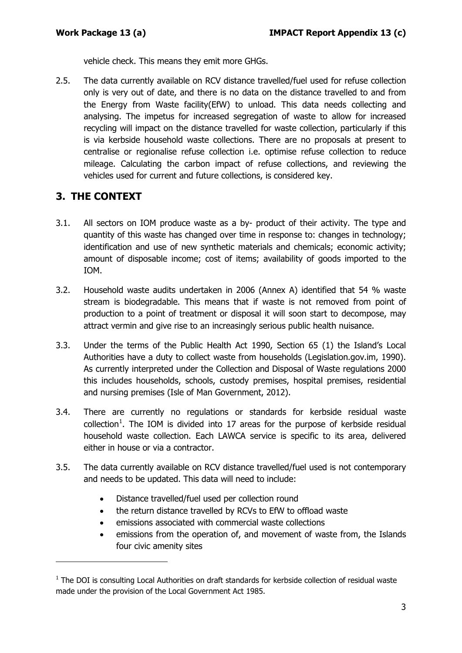vehicle check. This means they emit more GHGs.

2.5. The data currently available on RCV distance travelled/fuel used for refuse collection only is very out of date, and there is no data on the distance travelled to and from the Energy from Waste facility(EfW) to unload. This data needs collecting and analysing. The impetus for increased segregation of waste to allow for increased recycling will impact on the distance travelled for waste collection, particularly if this is via kerbside household waste collections. There are no proposals at present to centralise or regionalise refuse collection i.e. optimise refuse collection to reduce mileage. Calculating the carbon impact of refuse collections, and reviewing the vehicles used for current and future collections, is considered key.

#### **3. THE CONTEXT**

-

- 3.1. All sectors on IOM produce waste as a by- product of their activity. The type and quantity of this waste has changed over time in response to: changes in technology; identification and use of new synthetic materials and chemicals; economic activity; amount of disposable income; cost of items; availability of goods imported to the IOM.
- 3.2. Household waste audits undertaken in 2006 (Annex A) identified that 54 % waste stream is biodegradable. This means that if waste is not removed from point of production to a point of treatment or disposal it will soon start to decompose, may attract vermin and give rise to an increasingly serious public health nuisance.
- 3.3. Under the terms of the Public Health Act 1990, Section 65 (1) the Island's Local Authorities have a duty to collect waste from households (Legislation.gov.im, 1990). As currently interpreted under the Collection and Disposal of Waste regulations 2000 this includes households, schools, custody premises, hospital premises, residential and nursing premises (Isle of Man Government, 2012).
- 3.4. There are currently no regulations or standards for kerbside residual waste  $\text{collection}^1$  $\text{collection}^1$ . The IOM is divided into 17 areas for the purpose of kerbside residual household waste collection. Each LAWCA service is specific to its area, delivered either in house or via a contractor.
- 3.5. The data currently available on RCV distance travelled/fuel used is not contemporary and needs to be updated. This data will need to include:
	- Distance travelled/fuel used per collection round
	- the return distance travelled by RCVs to EfW to offload waste
	- emissions associated with commercial waste collections
	- emissions from the operation of, and movement of waste from, the Islands four civic amenity sites

<span id="page-2-0"></span> $1$  The DOI is consulting Local Authorities on draft standards for kerbside collection of residual waste made under the provision of the Local Government Act 1985.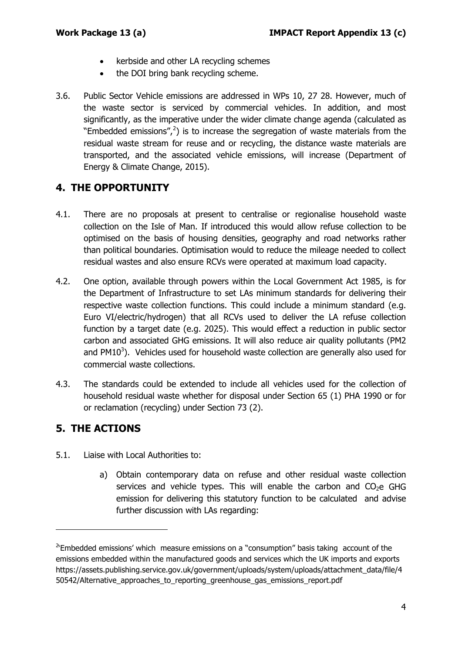- kerbside and other LA recycling schemes
- the DOI bring bank recycling scheme.
- 3.6. Public Sector Vehicle emissions are addressed in WPs 10, 27 28. However, much of the waste sector is serviced by commercial vehicles. In addition, and most significantly, as the imperative under the wider climate change agenda (calculated as "Embedded emissions", $^{2}$  $^{2}$  $^{2}$ ) is to increase the segregation of waste materials from the residual waste stream for reuse and or recycling, the distance waste materials are transported, and the associated vehicle emissions, will increase (Department of Energy & Climate Change, 2015).

#### **4. THE OPPORTUNITY**

- 4.1. There are no proposals at present to centralise or regionalise household waste collection on the Isle of Man. If introduced this would allow refuse collection to be optimised on the basis of housing densities, geography and road networks rather than political boundaries. Optimisation would to reduce the mileage needed to collect residual wastes and also ensure RCVs were operated at maximum load capacity.
- 4.2. One option, available through powers within the Local Government Act 1985, is for the Department of Infrastructure to set LAs minimum standards for delivering their respective waste collection functions. This could include a minimum standard (e.g. Euro VI/electric/hydrogen) that all RCVs used to deliver the LA refuse collection function by a target date (e.g. 2025). This would effect a reduction in public sector carbon and associated GHG emissions. It will also reduce air quality pollutants (PM2 and  $PM10<sup>3</sup>$ ). Vehicles used for household waste collection are generally also used for commercial waste collections.
- 4.3. The standards could be extended to include all vehicles used for the collection of household residual waste whether for disposal under Section 65 (1) PHA 1990 or for or reclamation (recycling) under Section 73 (2).

#### **5. THE ACTIONS**

-

- 5.1. Liaise with Local Authorities to:
	- a) Obtain contemporary data on refuse and other residual waste collection services and vehicle types. This will enable the carbon and  $CO<sub>2</sub>e$  GHG emission for delivering this statutory function to be calculated and advise further discussion with LAs regarding:

<span id="page-3-0"></span> $2$ Embedded emissions' which measure emissions on a "consumption" basis taking account of the emissions embedded within the manufactured goods and services which the UK imports and exports https://assets.publishing.service.gov.uk/government/uploads/system/uploads/attachment\_data/file/4 50542/Alternative\_approaches\_to\_reporting\_greenhouse\_gas\_emissions\_report.pdf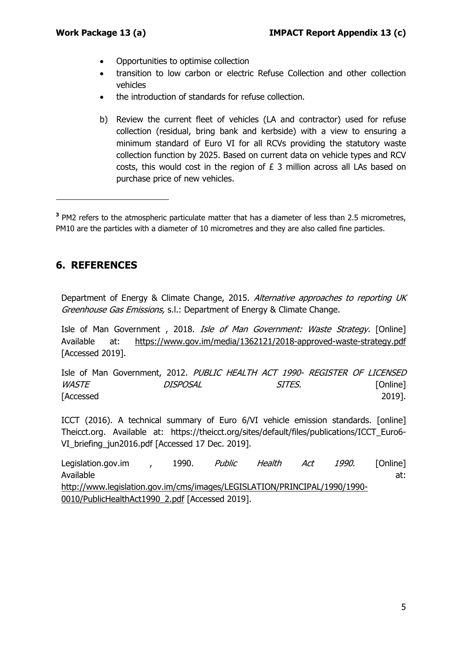- Opportunities to optimise collection
- transition to low carbon or electric Refuse Collection and other collection vehicles
- the introduction of standards for refuse collection.
- b) Review the current fleet of vehicles (LA and contractor) used for refuse collection (residual, bring bank and kerbside) with a view to ensuring a minimum standard of Euro VI for all RCVs providing the statutory waste collection function by 2025. Based on current data on vehicle types and RCV costs, this would cost in the region of £ 3 million across all LAs based on purchase price of new vehicles.

**<sup>3</sup>** PM2 refers to the atmospheric particulate matter that has a diameter of less than 2.5 micrometres, PM10 are the particles with a diameter of 10 micrometres and they are also called fine particles.

#### **6. REFERENCES**

Department of Energy & Climate Change, 2015. Alternative approaches to reporting UK Greenhouse Gas Emissions, s.l.: Department of Energy & Climate Change.

Isle of Man Government, 2018. Isle of Man Government: Waste Strategy. [Online] Available at: https://www.gov.im/media/1362121/2018-approved-waste-strategy.pdf [Accessed 2019].

Isle of Man Government, 2012. PUBLIC HEALTH ACT 1990- REGISTER OF LICENSED WASTE DISPOSAL SITES. [Online] [Accessed 2019].

ICCT (2016). A technical summary of Euro 6/VI vehicle emission standards. [online] Theicct.org. Available at: https://theicct.org/sites/default/files/publications/ICCT\_Euro6- VI briefing jun2016.pdf [Accessed 17 Dec. 2019].

Legislation.gov.im , 1990. Public Health Act 1990. [Online] Available at: the contract of the contract of the contract of the contract of the contract of the contract of the contract of the contract of the contract of the contract of the contract of the contract of the contract of http://www.legislation.gov.im/cms/images/LEGISLATION/PRINCIPAL/1990/1990- 0010/PublicHealthAct1990\_2.pdf [Accessed 2019].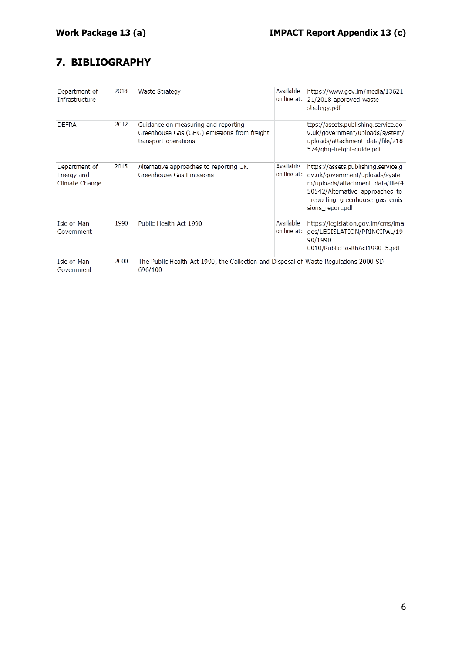## **7. BIBLIOGRAPHY**

| Department of<br>Infrastructure               | 2018 | Waste Strategy                                                                                             | Available<br>on line at: | https://www.gov.im/media/13621<br>21/2018-approved-waste-<br>strategy.pdf                                                                                                                        |
|-----------------------------------------------|------|------------------------------------------------------------------------------------------------------------|--------------------------|--------------------------------------------------------------------------------------------------------------------------------------------------------------------------------------------------|
| <b>DEFRA</b>                                  | 2012 | Guidance on measuring and reporting<br>Greenhouse Gas (GHG) emissions from freight<br>transport operations |                          | ttps://assets.publishing.service.go<br>v.uk/government/uploads/system/<br>uploads/attachment_data/file/218<br>574/ghg-freight-guide.pdf                                                          |
| Department of<br>Energy and<br>Climate Change | 2015 | Alternative approaches to reporting UK<br>Greenhouse Gas Emissions                                         | Available<br>on line at: | https://assets.publishing.service.g<br>ov.uk/govemment/uploads/syste<br>m/uploads/attachment data/file/4<br>50542/Altemative_approaches_to<br>_reporting_greenhouse_gas_emis<br>sions report.pdf |
| Isle of Man<br>Government                     | 1990 | Public Health Act 1990                                                                                     | Available<br>on line at: | https://legislation.gov.im/cms/ima<br>ges/LEGISLATION/PRINCIPAL/19<br>90/1990-<br>0010/PublicHealthAct1990_5.pdf                                                                                 |
| Isle of Man<br>Government                     | 2000 | The Public Health Act 1990, the Collection and Disposal of Waste Regulations 2000 SD<br>696/100            |                          |                                                                                                                                                                                                  |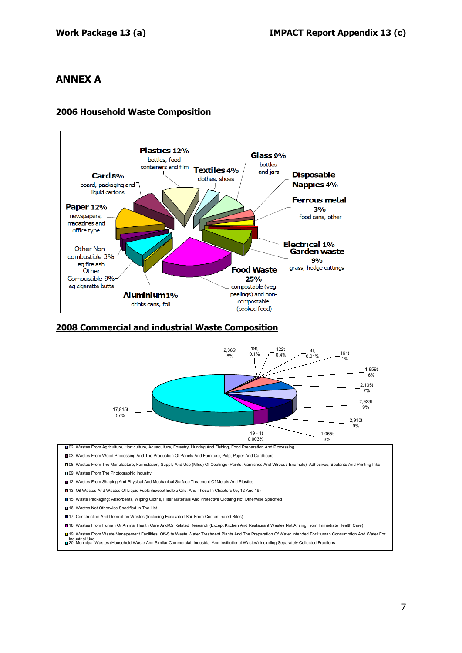#### **ANNEX A**

#### **2006 Household Waste Composition**



#### **2008 Commercial and industrial Waste Composition**



□02 Wastes From Agriculture, Horticulture, Aquaculture, Forestry, Hunting And Fishing, Food Preparation And Processing

■03 Wastes From Wood Processing And The Production Of Panels And Furniture, Pulp, Paper And Cardboard

08 Wastes From The Manufacture, Formulation, Supply And Use (Mfsu) Of Coatings (Paints, Varnishes And Vitreous Enamels), Adhesives, Sealants And Printing Inks

□09 Wastes From The Photographic Industry

■12 Wastes From Shaping And Physical And Mechanical Surface Treatment Of Metals And Plastics

■13 Oil Wastes And Wastes Of Liquid Fuels (Except Edible Oils, And Those In Chapters 05, 12 And 19)

■15 Waste Packaging; Absorbents, Wiping Cloths, Filter Materials And Protective Clothing Not Otherwise Specified

■16 Wastes Not Otherwise Specified In The List

■17 Construction And Demolition Wastes (Including Excavated Soil From Contaminated Sites)

18 Wastes From Human Or Animal Health Care And/Or Related Research (Except Kitchen And Restaurant Wastes Not Arising From Immediate Health Care)

■19 Wastes From Waste Management Facilities, Off-Site Waste Water Treatment Plants And The Preparation Of Water Intended For Human Consumption And Water For

Industrial Use 20 Municipal Wastes (Household Waste And Similar Commercial, Industrial And Institutional Wastes) Including Separately Collected Fractions